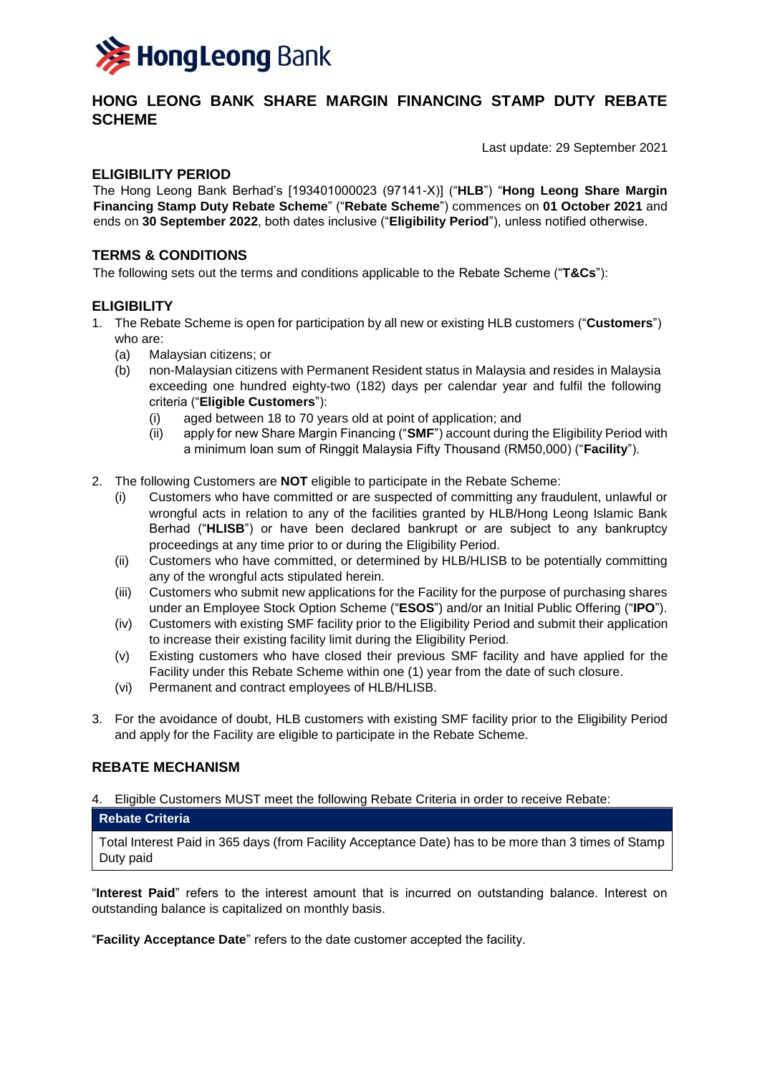

# **HONG LEONG BANK SHARE MARGIN FINANCING STAMP DUTY REBATE SCHEME**

Last update: 29 September 2021

## **ELIGIBILITY PERIOD**

The Hong Leong Bank Berhad's [193401000023 (97141-X)] ("**HLB**") "**Hong Leong Share Margin Financing Stamp Duty Rebate Scheme**" ("**Rebate Scheme**") commences on **01 October 2021** and ends on **30 September 2022**, both dates inclusive ("**Eligibility Period**"), unless notified otherwise.

## **TERMS & CONDITIONS**

The following sets out the terms and conditions applicable to the Rebate Scheme ("**T&Cs**"):

# **ELIGIBILITY**

- 1. The Rebate Scheme is open for participation by all new or existing HLB customers ("**Customers**") who are:
	- (a) Malaysian citizens; or
	- (b) non-Malaysian citizens with Permanent Resident status in Malaysia and resides in Malaysia exceeding one hundred eighty-two (182) days per calendar year and fulfil the following criteria ("**Eligible Customers**"):
		- (i) aged between 18 to 70 years old at point of application; and
		- (ii) apply for new Share Margin Financing ("**SMF**") account during the Eligibility Period with a minimum loan sum of Ringgit Malaysia Fifty Thousand (RM50,000) ("**Facility**").
- 2. The following Customers are **NOT** eligible to participate in the Rebate Scheme:
	- (i) Customers who have committed or are suspected of committing any fraudulent, unlawful or wrongful acts in relation to any of the facilities granted by HLB/Hong Leong Islamic Bank Berhad ("**HLISB**") or have been declared bankrupt or are subject to any bankruptcy proceedings at any time prior to or during the Eligibility Period.
	- (ii) Customers who have committed, or determined by HLB/HLISB to be potentially committing any of the wrongful acts stipulated herein.
	- (iii) Customers who submit new applications for the Facility for the purpose of purchasing shares under an Employee Stock Option Scheme ("**ESOS**") and/or an Initial Public Offering ("**IPO**").
	- (iv) Customers with existing SMF facility prior to the Eligibility Period and submit their application to increase their existing facility limit during the Eligibility Period.
	- (v) Existing customers who have closed their previous SMF facility and have applied for the Facility under this Rebate Scheme within one (1) year from the date of such closure.
	- (vi) Permanent and contract employees of HLB/HLISB.
- 3. For the avoidance of doubt, HLB customers with existing SMF facility prior to the Eligibility Period and apply for the Facility are eligible to participate in the Rebate Scheme.

### **REBATE MECHANISM**

4. Eligible Customers MUST meet the following Rebate Criteria in order to receive Rebate:

#### **Rebate Criteria**

Total Interest Paid in 365 days (from Facility Acceptance Date) has to be more than 3 times of Stamp Duty paid

"**Interest Paid**" refers to the interest amount that is incurred on outstanding balance. Interest on outstanding balance is capitalized on monthly basis.

"**Facility Acceptance Date**" refers to the date customer accepted the facility.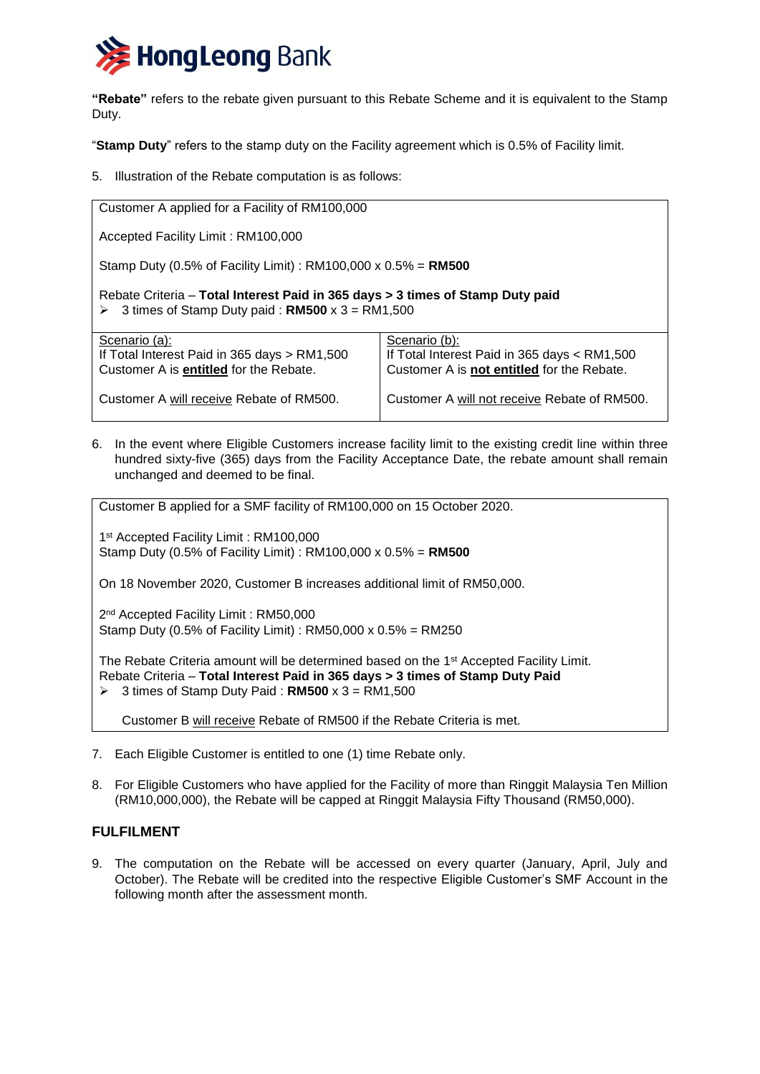

**"Rebate"** refers to the rebate given pursuant to this Rebate Scheme and it is equivalent to the Stamp Duty.

"**Stamp Duty**" refers to the stamp duty on the Facility agreement which is 0.5% of Facility limit.

5. Illustration of the Rebate computation is as follows:

| Customer A applied for a Facility of RM100,000                                                                                           |                                                               |
|------------------------------------------------------------------------------------------------------------------------------------------|---------------------------------------------------------------|
| Accepted Facility Limit: RM100,000                                                                                                       |                                                               |
| Stamp Duty (0.5% of Facility Limit): RM100,000 x $0.5% = RM500$                                                                          |                                                               |
| Rebate Criteria – Total Interest Paid in 365 days > 3 times of Stamp Duty paid<br>3 times of Stamp Duty paid: $RM500 \times 3 = RM1,500$ |                                                               |
| Scenario (a):<br>If Total Interest Paid in 365 days > RM1,500                                                                            | Scenario (b):<br>If Total Interest Paid in 365 days < RM1,500 |
| Customer A is entitled for the Rebate.                                                                                                   | Customer A is not entitled for the Rebate.                    |
| Customer A will receive Rebate of RM500.                                                                                                 | Customer A will not receive Rebate of RM500.                  |

6. In the event where Eligible Customers increase facility limit to the existing credit line within three hundred sixty-five (365) days from the Facility Acceptance Date, the rebate amount shall remain unchanged and deemed to be final.

Customer B applied for a SMF facility of RM100,000 on 15 October 2020.

1 st Accepted Facility Limit : RM100,000 Stamp Duty (0.5% of Facility Limit) : RM100,000 x 0.5% = **RM500**

On 18 November 2020, Customer B increases additional limit of RM50,000.

2 nd Accepted Facility Limit : RM50,000 Stamp Duty (0.5% of Facility Limit) : RM50,000 x 0.5% = RM250

The Rebate Criteria amount will be determined based on the 1<sup>st</sup> Accepted Facility Limit. Rebate Criteria – **Total Interest Paid in 365 days > 3 times of Stamp Duty Paid**  $\geq 3$  times of Stamp Duty Paid : **RM500** x 3 = RM1,500

Customer B will receive Rebate of RM500 if the Rebate Criteria is met.

- 7. Each Eligible Customer is entitled to one (1) time Rebate only.
- 8. For Eligible Customers who have applied for the Facility of more than Ringgit Malaysia Ten Million (RM10,000,000), the Rebate will be capped at Ringgit Malaysia Fifty Thousand (RM50,000).

# **FULFILMENT**

9. The computation on the Rebate will be accessed on every quarter (January, April, July and October). The Rebate will be credited into the respective Eligible Customer's SMF Account in the following month after the assessment month.